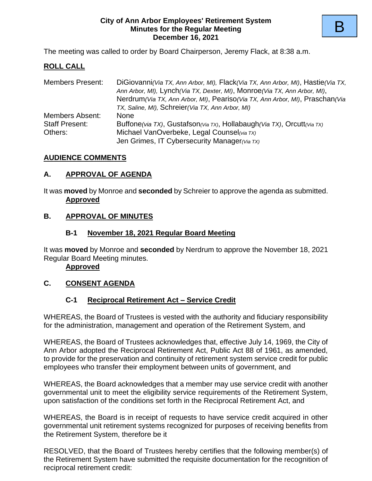### **City of Ann Arbor Employees' Retirement System Minutes for the Regular Meeting December 16, 2021**

The meeting was called to order by Board Chairperson, Jeremy Flack, at 8:38 a.m.

# **ROLL CALL**

| <b>Members Present:</b> | DiGiovanni (Via TX, Ann Arbor, MI), Flack (Via TX, Ann Arbor, MI), Hastie (Via TX,<br>Ann Arbor, MI), Lynch (Via TX, Dexter, MI), Monroe (Via TX, Ann Arbor, MI),<br>Nerdrum (Via TX, Ann Arbor, MI), Peariso (Via TX, Ann Arbor, MI), Praschan (Via |
|-------------------------|------------------------------------------------------------------------------------------------------------------------------------------------------------------------------------------------------------------------------------------------------|
|                         | TX, Saline, MI), Schreier (Via TX, Ann Arbor, MI)                                                                                                                                                                                                    |
| <b>Members Absent:</b>  | <b>None</b>                                                                                                                                                                                                                                          |
| <b>Staff Present:</b>   | Buffone(via TX), Gustafson(Via TX), Hollabaugh(Via TX), Orcutt(Via TX)                                                                                                                                                                               |
| Others:                 | Michael VanOverbeke, Legal Counsel(via TX)                                                                                                                                                                                                           |
|                         | Jen Grimes, IT Cybersecurity Manager (Via TX)                                                                                                                                                                                                        |

## **AUDIENCE COMMENTS**

## **A. APPROVAL OF AGENDA**

It was **moved** by Monroe and **seconded** by Schreier to approve the agenda as submitted. **Approved**

# **B. APPROVAL OF MINUTES**

## **B-1 November 18, 2021 Regular Board Meeting**

It was **moved** by Monroe and **seconded** by Nerdrum to approve the November 18, 2021 Regular Board Meeting minutes.

### **Approved**

# **C. CONSENT AGENDA**

# **C-1 Reciprocal Retirement Act – Service Credit**

WHEREAS, the Board of Trustees is vested with the authority and fiduciary responsibility for the administration, management and operation of the Retirement System, and

WHEREAS, the Board of Trustees acknowledges that, effective July 14, 1969, the City of Ann Arbor adopted the Reciprocal Retirement Act, Public Act 88 of 1961, as amended, to provide for the preservation and continuity of retirement system service credit for public employees who transfer their employment between units of government, and

WHEREAS, the Board acknowledges that a member may use service credit with another governmental unit to meet the eligibility service requirements of the Retirement System, upon satisfaction of the conditions set forth in the Reciprocal Retirement Act, and

WHEREAS, the Board is in receipt of requests to have service credit acquired in other governmental unit retirement systems recognized for purposes of receiving benefits from the Retirement System, therefore be it

RESOLVED, that the Board of Trustees hereby certifies that the following member(s) of the Retirement System have submitted the requisite documentation for the recognition of reciprocal retirement credit: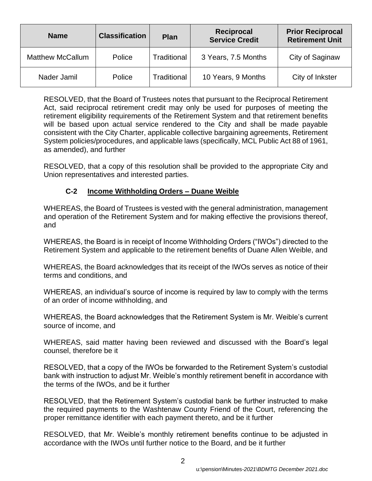| <b>Name</b>             | <b>Classification</b> | Plan               | <b>Reciprocal</b><br><b>Service Credit</b> | <b>Prior Reciprocal</b><br><b>Retirement Unit</b> |
|-------------------------|-----------------------|--------------------|--------------------------------------------|---------------------------------------------------|
| <b>Matthew McCallum</b> | Police                | Traditional        | 3 Years, 7.5 Months                        | City of Saginaw                                   |
| Nader Jamil             | Police                | <b>Traditional</b> | 10 Years, 9 Months                         | City of Inkster                                   |

RESOLVED, that the Board of Trustees notes that pursuant to the Reciprocal Retirement Act, said reciprocal retirement credit may only be used for purposes of meeting the retirement eligibility requirements of the Retirement System and that retirement benefits will be based upon actual service rendered to the City and shall be made payable consistent with the City Charter, applicable collective bargaining agreements, Retirement System policies/procedures, and applicable laws (specifically, MCL Public Act 88 of 1961, as amended), and further

RESOLVED, that a copy of this resolution shall be provided to the appropriate City and Union representatives and interested parties.

# **C-2 Income Withholding Orders – Duane Weible**

WHEREAS, the Board of Trustees is vested with the general administration, management and operation of the Retirement System and for making effective the provisions thereof, and

WHEREAS, the Board is in receipt of Income Withholding Orders ("IWOs") directed to the Retirement System and applicable to the retirement benefits of Duane Allen Weible, and

WHEREAS, the Board acknowledges that its receipt of the IWOs serves as notice of their terms and conditions, and

WHEREAS, an individual's source of income is required by law to comply with the terms of an order of income withholding, and

WHEREAS, the Board acknowledges that the Retirement System is Mr. Weible's current source of income, and

WHEREAS, said matter having been reviewed and discussed with the Board's legal counsel, therefore be it

RESOLVED, that a copy of the IWOs be forwarded to the Retirement System's custodial bank with instruction to adjust Mr. Weible's monthly retirement benefit in accordance with the terms of the IWOs, and be it further

RESOLVED, that the Retirement System's custodial bank be further instructed to make the required payments to the Washtenaw County Friend of the Court, referencing the proper remittance identifier with each payment thereto, and be it further

RESOLVED, that Mr. Weible's monthly retirement benefits continue to be adjusted in accordance with the IWOs until further notice to the Board, and be it further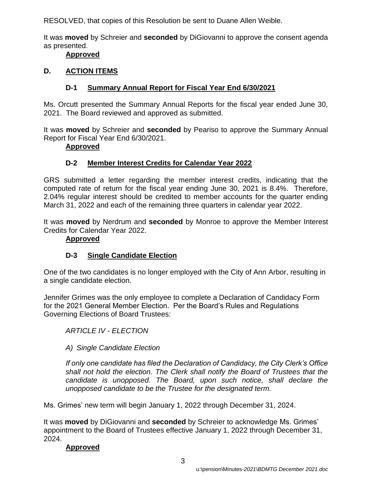RESOLVED, that copies of this Resolution be sent to Duane Allen Weible.

It was **moved** by Schreier and **seconded** by DiGiovanni to approve the consent agenda as presented.

### **Approved**

## **D. ACTION ITEMS**

# **D-1 Summary Annual Report for Fiscal Year End 6/30/2021**

Ms. Orcutt presented the Summary Annual Reports for the fiscal year ended June 30, 2021. The Board reviewed and approved as submitted.

It was **moved** by Schreier and **seconded** by Peariso to approve the Summary Annual Report for Fiscal Year End 6/30/2021.

### **Approved**

# **D-2 Member Interest Credits for Calendar Year 2022**

GRS submitted a letter regarding the member interest credits, indicating that the computed rate of return for the fiscal year ending June 30, 2021 is 8.4%. Therefore, 2.04% regular interest should be credited to member accounts for the quarter ending March 31, 2022 and each of the remaining three quarters in calendar year 2022.

It was **moved** by Nerdrum and **seconded** by Monroe to approve the Member Interest Credits for Calendar Year 2022.

## **Approved**

# **D-3 Single Candidate Election**

One of the two candidates is no longer employed with the City of Ann Arbor, resulting in a single candidate election.

Jennifer Grimes was the only employee to complete a Declaration of Candidacy Form for the 2021 General Member Election. Per the Board's Rules and Regulations Governing Elections of Board Trustees:

*ARTICLE IV - ELECTION*

# *A) Single Candidate Election*

*If only one candidate has filed the Declaration of Candidacy, the City Clerk's Office shall not hold the election. The Clerk shall notify the Board of Trustees that the candidate is unopposed. The Board, upon such notice, shall declare the unopposed candidate to be the Trustee for the designated term.*

Ms. Grimes' new term will begin January 1, 2022 through December 31, 2024.

It was **moved** by DiGiovanni and **seconded** by Schreier to acknowledge Ms. Grimes' appointment to the Board of Trustees effective January 1, 2022 through December 31, 2024.

# **Approved**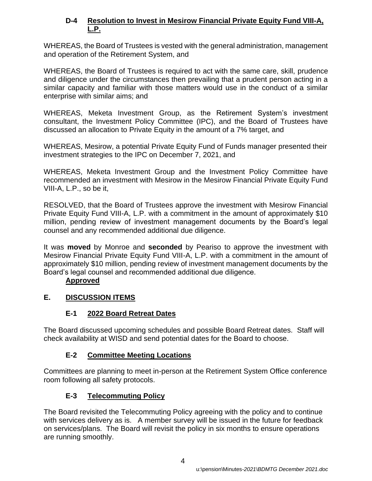# **D-4 Resolution to Invest in Mesirow Financial Private Equity Fund VIII-A, L.P.**

WHEREAS, the Board of Trustees is vested with the general administration, management and operation of the Retirement System, and

WHEREAS, the Board of Trustees is required to act with the same care, skill, prudence and diligence under the circumstances then prevailing that a prudent person acting in a similar capacity and familiar with those matters would use in the conduct of a similar enterprise with similar aims; and

WHEREAS, Meketa Investment Group, as the Retirement System's investment consultant, the Investment Policy Committee (IPC), and the Board of Trustees have discussed an allocation to Private Equity in the amount of a 7% target, and

WHEREAS, Mesirow, a potential Private Equity Fund of Funds manager presented their investment strategies to the IPC on December 7, 2021, and

WHEREAS, Meketa Investment Group and the Investment Policy Committee have recommended an investment with Mesirow in the Mesirow Financial Private Equity Fund VIII-A, L.P., so be it,

RESOLVED, that the Board of Trustees approve the investment with Mesirow Financial Private Equity Fund VIII-A, L.P. with a commitment in the amount of approximately \$10 million, pending review of investment management documents by the Board's legal counsel and any recommended additional due diligence.

It was **moved** by Monroe and **seconded** by Peariso to approve the investment with Mesirow Financial Private Equity Fund VIII-A, L.P. with a commitment in the amount of approximately \$10 million, pending review of investment management documents by the Board's legal counsel and recommended additional due diligence.

# **Approved**

# **E. DISCUSSION ITEMS**

# **E-1 2022 Board Retreat Dates**

The Board discussed upcoming schedules and possible Board Retreat dates. Staff will check availability at WISD and send potential dates for the Board to choose.

# **E-2 Committee Meeting Locations**

Committees are planning to meet in-person at the Retirement System Office conference room following all safety protocols.

# **E-3 Telecommuting Policy**

The Board revisited the Telecommuting Policy agreeing with the policy and to continue with services delivery as is. A member survey will be issued in the future for feedback on services/plans. The Board will revisit the policy in six months to ensure operations are running smoothly.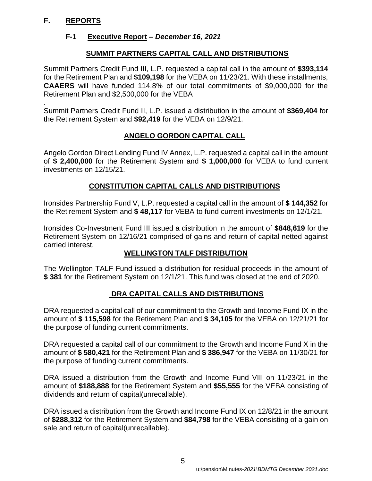# **F. REPORTS**

# **F-1 Executive Report** *– December 16, 2021*

# **SUMMIT PARTNERS CAPITAL CALL AND DISTRIBUTIONS**

Summit Partners Credit Fund III, L.P. requested a capital call in the amount of **\$393,114**  for the Retirement Plan and **\$109,198** for the VEBA on 11/23/21. With these installments, **CAAERS** will have funded 114.8% of our total commitments of \$9,000,000 for the Retirement Plan and \$2,500,000 for the VEBA

. Summit Partners Credit Fund II, L.P. issued a distribution in the amount of **\$369,404** for the Retirement System and **\$92,419** for the VEBA on 12/9/21.

# **ANGELO GORDON CAPITAL CALL**

Angelo Gordon Direct Lending Fund IV Annex, L.P. requested a capital call in the amount of **\$ 2,400,000** for the Retirement System and **\$ 1,000,000** for VEBA to fund current investments on 12/15/21.

# **CONSTITUTION CAPITAL CALLS AND DISTRIBUTIONS**

Ironsides Partnership Fund V, L.P. requested a capital call in the amount of **\$ 144,352** for the Retirement System and **\$ 48,117** for VEBA to fund current investments on 12/1/21.

Ironsides Co-Investment Fund III issued a distribution in the amount of **\$848,619** for the Retirement System on 12/16/21 comprised of gains and return of capital netted against carried interest.

# **WELLINGTON TALF DISTRIBUTION**

The Wellington TALF Fund issued a distribution for residual proceeds in the amount of **\$ 381** for the Retirement System on 12/1/21. This fund was closed at the end of 2020.

# **DRA CAPITAL CALLS AND DISTRIBUTIONS**

DRA requested a capital call of our commitment to the Growth and Income Fund IX in the amount of **\$ 115,598** for the Retirement Plan and **\$ 34,105** for the VEBA on 12/21/21 for the purpose of funding current commitments.

DRA requested a capital call of our commitment to the Growth and Income Fund X in the amount of **\$ 580,421** for the Retirement Plan and **\$ 386,947** for the VEBA on 11/30/21 for the purpose of funding current commitments.

DRA issued a distribution from the Growth and Income Fund VIII on 11/23/21 in the amount of **\$188,888** for the Retirement System and **\$55,555** for the VEBA consisting of dividends and return of capital(unrecallable).

DRA issued a distribution from the Growth and Income Fund IX on 12/8/21 in the amount of **\$288,312** for the Retirement System and **\$84,798** for the VEBA consisting of a gain on sale and return of capital(unrecallable).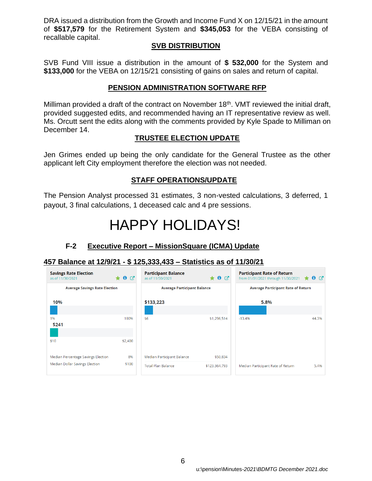DRA issued a distribution from the Growth and Income Fund X on 12/15/21 in the amount of **\$517,579** for the Retirement System and **\$345,053** for the VEBA consisting of recallable capital.

### **SVB DISTRIBUTION**

SVB Fund VIII issue a distribution in the amount of **\$ 532,000** for the System and **\$133,000** for the VEBA on 12/15/21 consisting of gains on sales and return of capital.

### **PENSION ADMINISTRATION SOFTWARE RFP**

Milliman provided a draft of the contract on November 18<sup>th</sup>. VMT reviewed the initial draft, provided suggested edits, and recommended having an IT representative review as well. Ms. Orcutt sent the edits along with the comments provided by Kyle Spade to Milliman on December 14.

## **TRUSTEE ELECTION UPDATE**

Jen Grimes ended up being the only candidate for the General Trustee as the other applicant left City employment therefore the election was not needed.

### **STAFF OPERATIONS/UPDATE**

The Pension Analyst processed 31 estimates, 3 non-vested calculations, 3 deferred, 1 payout, 3 final calculations, 1 deceased calc and 4 pre sessions.

# HAPPY HOLIDAYS!

# **F-2 Executive Report – MissionSquare (ICMA) Update**

### **457 Balance at 12/9/21 - \$ 125,333,433 – Statistics as of 11/30/21**

| <b>Savings Rate Election</b><br>as of 11/30/2021 | $\star$ 0 $\sigma$ | <b>Participant Balance</b><br>as of 11/30/2021 | $\bullet$ $\sigma$ | <b>Participant Rate of Return</b><br>from 01/01/2021 through 11/30/2021 | $\star$ 0 $\sigma$ |
|--------------------------------------------------|--------------------|------------------------------------------------|--------------------|-------------------------------------------------------------------------|--------------------|
| <b>Average Savings Rate Election</b>             |                    | <b>Average Participant Balance</b>             |                    | <b>Average Participant Rate of Return</b>                               |                    |
| 10%                                              |                    | \$133,223                                      |                    | 5.8%                                                                    |                    |
|                                                  |                    |                                                |                    |                                                                         |                    |
| 1%<br>\$241                                      | 100%               | \$6                                            | \$1,296,514        | $-13.4%$                                                                | 44.3%              |
|                                                  |                    |                                                |                    |                                                                         |                    |
| \$10                                             | \$2,400            |                                                |                    |                                                                         |                    |
| Median Percentage Savings Election               | 8%                 | Median Participant Balance                     | \$50,834           |                                                                         |                    |
| <b>Median Dollar Savings Election</b>            | \$100              | <b>Total Plan Balance</b>                      | \$123,364,793      | Median Participant Rate of Return                                       | 5.4%               |
|                                                  |                    |                                                |                    |                                                                         |                    |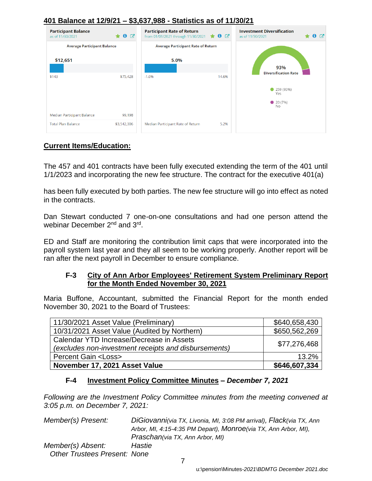# **401 Balance at 12/9/21 – \$3,637,988 - Statistics as of 11/30/21**



## **Current Items/Education:**

The 457 and 401 contracts have been fully executed extending the term of the 401 until 1/1/2023 and incorporating the new fee structure. The contract for the executive 401(a)

has been fully executed by both parties. The new fee structure will go into effect as noted in the contracts.

Dan Stewart conducted 7 one-on-one consultations and had one person attend the webinar December 2<sup>nd</sup> and 3<sup>rd</sup>.

ED and Staff are monitoring the contribution limit caps that were incorporated into the payroll system last year and they all seem to be working properly. Another report will be ran after the next payroll in December to ensure compliance.

### **F-3 City of Ann Arbor Employees' Retirement System Preliminary Report for the Month Ended November 30, 2021**

Maria Buffone, Accountant, submitted the Financial Report for the month ended November 30, 2021 to the Board of Trustees:

| 11/30/2021 Asset Value (Preliminary)                                                             | \$640,658,430 |
|--------------------------------------------------------------------------------------------------|---------------|
| 10/31/2021 Asset Value (Audited by Northern)                                                     | \$650,562,269 |
| Calendar YTD Increase/Decrease in Assets<br>(excludes non-investment receipts and disbursements) | \$77,276,468  |
| <b>Percent Gain <loss></loss></b>                                                                | 13.2%         |
| November 17, 2021 Asset Value                                                                    | \$646,607,334 |

### **F-4 Investment Policy Committee Minutes –** *December 7, 2021*

*Following are the Investment Policy Committee minutes from the meeting convened at 3:05 p.m. on December 7, 2021:*

*Member(s) Present: DiGiovanni(via TX, Livonia, MI, 3:08 PM arrival), Flack(via TX, Ann Arbor, MI, 4:15-4:35 PM Depart), Monroe(via TX, Ann Arbor, MI), Praschan(via TX, Ann Arbor, MI) Member(s) Absent: Hastie Other Trustees Present: None*

7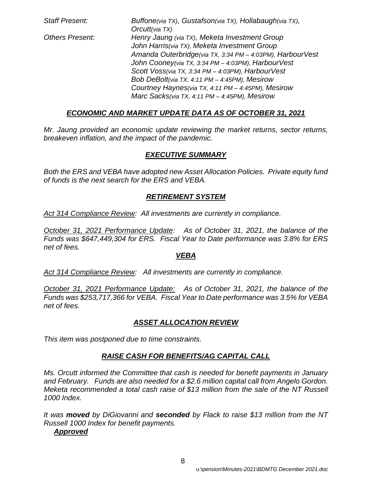*Staff Present: Buffone(via TX), Gustafson(via TX), Hollabaugh(via TX), Orcutt(via TX) Others Present: Henry Jaung (via TX), Meketa Investment Group John Harris(via TX), Meketa Investment Group Amanda Outerbridge(via TX, 3:34 PM – 4:03PM), HarbourVest John Cooney(via TX, 3:34 PM – 4:03PM), HarbourVest Scott Voss(via TX, 3:34 PM – 4:03PM), HarbourVest Bob DeBolt(via TX, 4:11 PM – 4:45PM), Mesirow Courtney Haynes(via TX, 4:11 PM – 4:45PM), Mesirow Marc Sacks(via TX, 4:11 PM – 4:45PM), Mesirow*

# *ECONOMIC AND MARKET UPDATE DATA AS OF OCTOBER 31, 2021*

*Mr. Jaung provided an economic update reviewing the market returns, sector returns, breakeven inflation, and the impact of the pandemic.*

# *EXECUTIVE SUMMARY*

*Both the ERS and VEBA have adopted new Asset Allocation Policies. Private equity fund of funds is the next search for the ERS and VEBA.*

# *RETIREMENT SYSTEM*

*Act 314 Compliance Review: All investments are currently in compliance.*

*October 31, 2021 Performance Update: As of October 31, 2021, the balance of the Funds was \$647,449,304 for ERS. Fiscal Year to Date performance was 3.8% for ERS net of fees.* 

### *VEBA*

*Act 314 Compliance Review: All investments are currently in compliance.*

*October 31, 2021 Performance Update: As of October 31, 2021, the balance of the Funds was \$253,717,366 for VEBA. Fiscal Year to Date performance was 3.5% for VEBA net of fees.* 

# *ASSET ALLOCATION REVIEW*

*This item was postponed due to time constraints.*

# *RAISE CASH FOR BENEFITS/AG CAPITAL CALL*

*Ms. Orcutt informed the Committee that cash is needed for benefit payments in January and February. Funds are also needed for a \$2.6 million capital call from Angelo Gordon. Meketa recommended a total cash raise of \$13 million from the sale of the NT Russell 1000 Index.*

*It was moved by DiGiovanni and seconded by Flack to raise \$13 million from the NT Russell 1000 Index for benefit payments.*

### *Approved*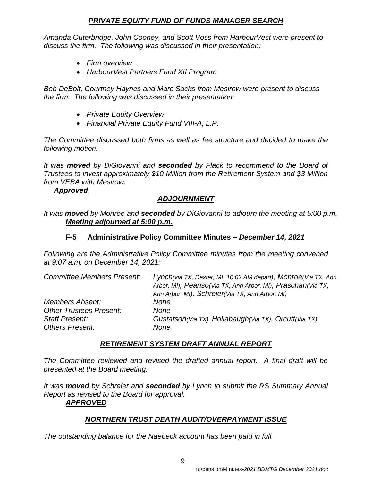## *PRIVATE EQUITY FUND OF FUNDS MANAGER SEARCH*

*Amanda Outerbridge, John Cooney, and Scott Voss from HarbourVest were present to discuss the firm. The following was discussed in their presentation:*

- *Firm overview*
- *HarbourVest Partners Fund XII Program*

*Bob DeBolt, Courtney Haynes and Marc Sacks from Mesirow were present to discuss the firm. The following was discussed in their presentation:*

- *Private Equity Overview*
- *Financial Private Equity Fund VIII-A, L.P.*

*The Committee discussed both firms as well as fee structure and decided to make the following motion.*

*It was moved by DiGiovanni and seconded by Flack to recommend to the Board of Trustees to invest approximately \$10 Million from the Retirement System and \$3 Million from VEBA with Mesirow.*

## *Approved*

# *ADJOURNMENT*

*It was moved by Monroe and seconded by DiGiovanni to adjourn the meeting at 5:00 p.m. Meeting adjourned at 5:00 p.m.*

### **F-5 Administrative Policy Committee Minutes –** *December 14, 2021*

*Following are the Administrative Policy Committee minutes from the meeting convened at 9:07 a.m. on December 14, 2021:*

| <b>Committee Members Present:</b> | Lynch(via TX, Dexter, MI, 10:02 AM depart), Monroe(Via TX, Ann<br>Arbor, MI), Peariso(Via TX, Ann Arbor, MI), Praschan(Via TX,<br>Ann Arbor, MI), Schreier(Via TX, Ann Arbor, MI) |
|-----------------------------------|-----------------------------------------------------------------------------------------------------------------------------------------------------------------------------------|
| <b>Members Absent:</b>            | None                                                                                                                                                                              |
| <b>Other Trustees Present:</b>    | None                                                                                                                                                                              |
| <b>Staff Present:</b>             | Gustafson(Via TX), Hollabaugh(Via TX), Orcutt(Via TX)                                                                                                                             |
| <b>Others Present:</b>            | None                                                                                                                                                                              |

# *RETIREMENT SYSTEM DRAFT ANNUAL REPORT*

*The Committee reviewed and revised the drafted annual report. A final draft will be presented at the Board meeting.* 

*It was moved by Schreier and seconded by Lynch to submit the RS Summary Annual Report as revised to the Board for approval. APPROVED*

# *NORTHERN TRUST DEATH AUDIT/OVERPAYMENT ISSUE*

*The outstanding balance for the Naebeck account has been paid in full.*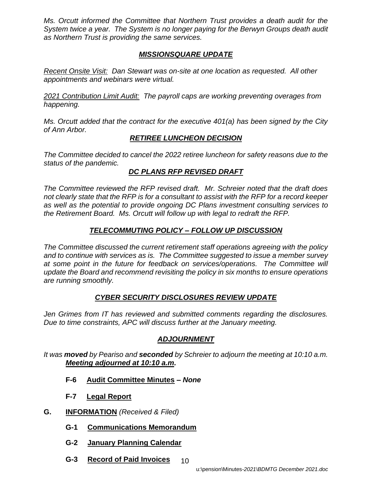*Ms. Orcutt informed the Committee that Northern Trust provides a death audit for the System twice a year. The System is no longer paying for the Berwyn Groups death audit as Northern Trust is providing the same services.* 

# *MISSIONSQUARE UPDATE*

*Recent Onsite Visit: Dan Stewart was on-site at one location as requested. All other appointments and webinars were virtual.* 

*2021 Contribution Limit Audit: The payroll caps are working preventing overages from happening.* 

*Ms. Orcutt added that the contract for the executive 401(a) has been signed by the City of Ann Arbor.* 

# *RETIREE LUNCHEON DECISION*

*The Committee decided to cancel the 2022 retiree luncheon for safety reasons due to the status of the pandemic.* 

# *DC PLANS RFP REVISED DRAFT*

*The Committee reviewed the RFP revised draft. Mr. Schreier noted that the draft does not clearly state that the RFP is for a consultant to assist with the RFP for a record keeper as well as the potential to provide ongoing DC Plans investment consulting services to the Retirement Board. Ms. Orcutt will follow up with legal to redraft the RFP.* 

# *TELECOMMUTING POLICY – FOLLOW UP DISCUSSION*

*The Committee discussed the current retirement staff operations agreeing with the policy and to continue with services as is. The Committee suggested to issue a member survey at some point in the future for feedback on services/operations. The Committee will update the Board and recommend revisiting the policy in six months to ensure operations are running smoothly.* 

# *CYBER SECURITY DISCLOSURES REVIEW UPDATE*

*Jen Grimes from IT has reviewed and submitted comments regarding the disclosures. Due to time constraints, APC will discuss further at the January meeting.* 

# *ADJOURNMENT*

*It was moved by Peariso and seconded by Schreier to adjourn the meeting at 10:10 a.m. Meeting adjourned at 10:10 a.m.*

- **F-6 Audit Committee Minutes** *– None*
- **F-7 Legal Report**
- **G. INFORMATION** *(Received & Filed)*
	- **G-1 Communications Memorandum**
	- **G-2 January Planning Calendar**
	- 10 **G-3 Record of Paid Invoices**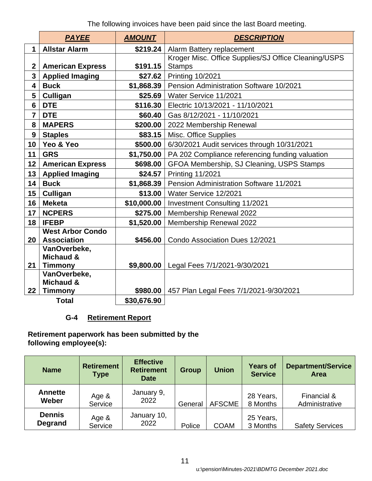The following invoices have been paid since the last Board meeting.

|                 | <b>PAYEE</b>                   | <b>AMOUNT</b> | <b>DESCRIPTION</b>                                   |  |  |  |  |
|-----------------|--------------------------------|---------------|------------------------------------------------------|--|--|--|--|
| 1               | <b>Allstar Alarm</b>           | \$219.24      | Alarm Battery replacement                            |  |  |  |  |
|                 |                                |               | Kroger Misc. Office Supplies/SJ Office Cleaning/USPS |  |  |  |  |
| $\mathbf{2}$    | <b>American Express</b>        | \$191.15      | <b>Stamps</b>                                        |  |  |  |  |
| 3               | <b>Applied Imaging</b>         | \$27.62       | <b>Printing 10/2021</b>                              |  |  |  |  |
| 4               | <b>Buck</b>                    | \$1,868.39    | Pension Administration Software 10/2021              |  |  |  |  |
| 5               | Culligan                       | \$25.69       | Water Service 11/2021                                |  |  |  |  |
| 6               | <b>DTE</b>                     | \$116.30      | Electric 10/13/2021 - 11/10/2021                     |  |  |  |  |
| $\overline{7}$  | <b>DTE</b>                     | \$60.40       | Gas 8/12/2021 - 11/10/2021                           |  |  |  |  |
| 8               | <b>MAPERS</b>                  | \$200.00      | 2022 Membership Renewal                              |  |  |  |  |
| 9               | <b>Staples</b>                 | \$83.15       | <b>Misc. Office Supplies</b>                         |  |  |  |  |
| 10 <sup>°</sup> | Yeo & Yeo                      | \$500.00      | 6/30/2021 Audit services through 10/31/2021          |  |  |  |  |
| 11              | <b>GRS</b>                     | \$1,750.00    | PA 202 Compliance referencing funding valuation      |  |  |  |  |
| 12 <sub>2</sub> | <b>American Express</b>        | \$698.00      | GFOA Membership, SJ Cleaning, USPS Stamps            |  |  |  |  |
| 13              | <b>Applied Imaging</b>         | \$24.57       | <b>Printing 11/2021</b>                              |  |  |  |  |
| 14              | <b>Buck</b>                    | \$1,868.39    | Pension Administration Software 11/2021              |  |  |  |  |
| 15              | Culligan                       | \$13.00       | Water Service 12/2021                                |  |  |  |  |
| 16              | <b>Meketa</b>                  | \$10,000.00   | <b>Investment Consulting 11/2021</b>                 |  |  |  |  |
| 17              | <b>NCPERS</b>                  | \$275.00      | Membership Renewal 2022                              |  |  |  |  |
| 18              | <b>IFEBP</b>                   | \$1,520.00    | Membership Renewal 2022                              |  |  |  |  |
|                 | <b>West Arbor Condo</b>        |               |                                                      |  |  |  |  |
| 20              | <b>Association</b>             | \$456.00      | Condo Association Dues 12/2021                       |  |  |  |  |
|                 | VanOverbeke,                   |               |                                                      |  |  |  |  |
| 21              | <b>Michaud &amp;</b>           | \$9,800.00    |                                                      |  |  |  |  |
|                 | <b>Timmony</b><br>VanOverbeke, |               | Legal Fees 7/1/2021-9/30/2021                        |  |  |  |  |
|                 | Michaud &                      |               |                                                      |  |  |  |  |
| 22              | <b>Timmony</b>                 | \$980.00      | 457 Plan Legal Fees 7/1/2021-9/30/2021               |  |  |  |  |
|                 | <b>Total</b>                   | \$30,676.90   |                                                      |  |  |  |  |

# **G-4 Retirement Report**

**Retirement paperwork has been submitted by the following employee(s):**

| <b>Name</b>                     | <b>Retirement</b><br><b>Type</b> | <b>Effective</b><br><b>Retirement</b><br><b>Date</b> | <b>Group</b> | <b>Union</b>  | <b>Years of</b><br><b>Service</b> | <b>Department/Service</b><br><b>Area</b> |
|---------------------------------|----------------------------------|------------------------------------------------------|--------------|---------------|-----------------------------------|------------------------------------------|
| <b>Annette</b><br>Weber         | Age &<br>Service                 | January 9,<br>2022                                   | General      | <b>AFSCME</b> | 28 Years,<br>8 Months             | Financial &<br>Administrative            |
| <b>Dennis</b><br><b>Degrand</b> | Age &<br>Service                 | January 10,<br>2022                                  | Police       | <b>COAM</b>   | 25 Years,<br>3 Months             | <b>Safety Services</b>                   |